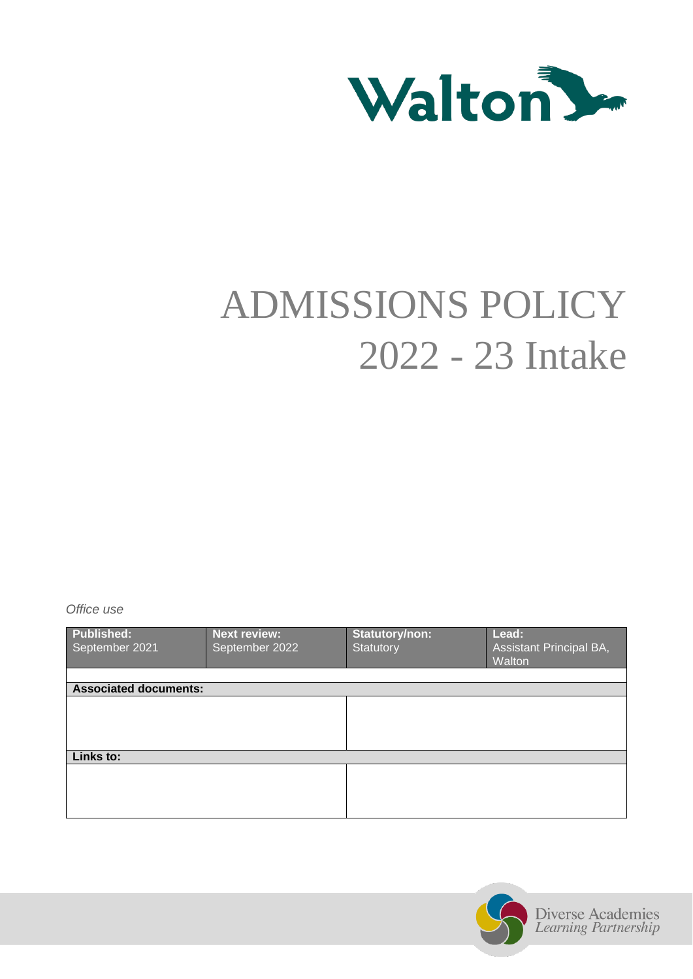

# ADMISSIONS POLICY 2022 - 23 Intake

*Office use*

| Published:<br>September 2021 | <b>Next review:</b><br>September 2022 | Statutory/non:<br>Statutory | Lead:<br>Assistant Principal BA,<br>Walton |  |
|------------------------------|---------------------------------------|-----------------------------|--------------------------------------------|--|
|                              |                                       |                             |                                            |  |
| <b>Associated documents:</b> |                                       |                             |                                            |  |
|                              |                                       |                             |                                            |  |
| Links to:                    |                                       |                             |                                            |  |
|                              |                                       |                             |                                            |  |

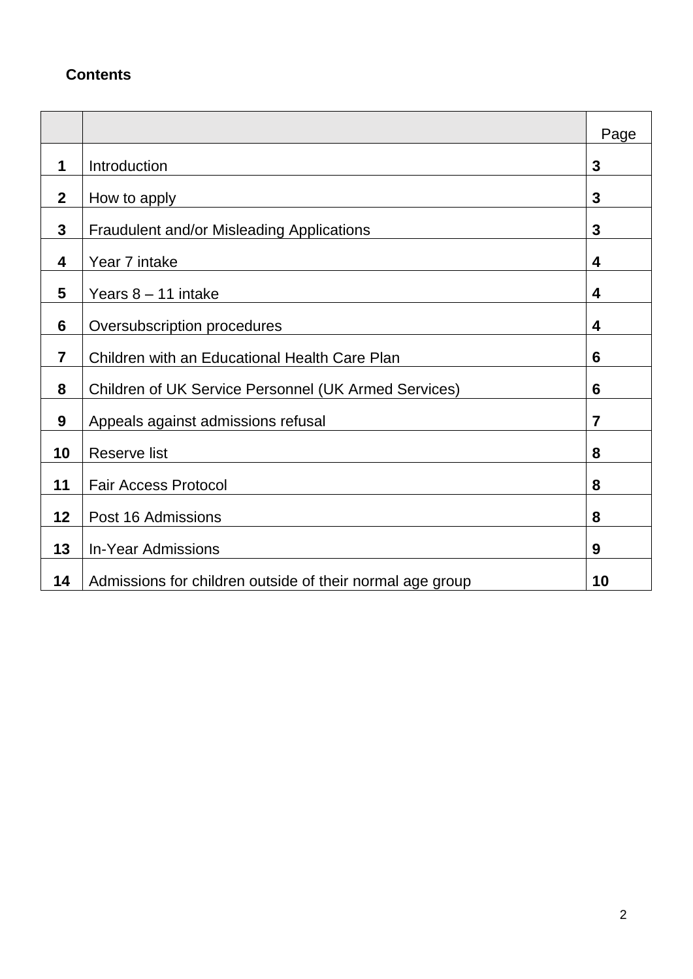# **Contents**

|              |                                                           | Page           |
|--------------|-----------------------------------------------------------|----------------|
| 1            | Introduction                                              | 3              |
| $\mathbf{2}$ | How to apply                                              | 3              |
| 3            | <b>Fraudulent and/or Misleading Applications</b>          | 3              |
| 4            | Year 7 intake                                             | 4              |
| 5            | Years $8 - 11$ intake                                     | 4              |
| 6            | Oversubscription procedures                               | 4              |
| 7            | Children with an Educational Health Care Plan             | 6              |
| 8            | Children of UK Service Personnel (UK Armed Services)      | 6              |
| 9            | Appeals against admissions refusal                        | $\overline{7}$ |
| 10           | <b>Reserve list</b>                                       | 8              |
| 11           | <b>Fair Access Protocol</b>                               | 8              |
| 12           | Post 16 Admissions                                        | 8              |
| 13           | <b>In-Year Admissions</b>                                 | 9              |
| 14           | Admissions for children outside of their normal age group | 10             |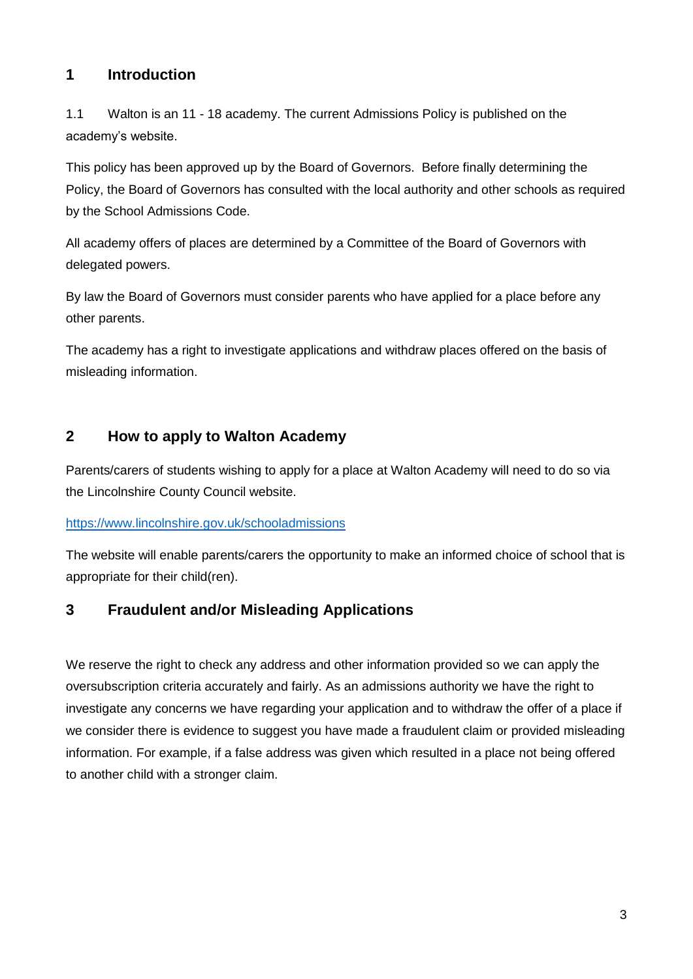# **1 Introduction**

1.1 Walton is an 11 - 18 academy. The current Admissions Policy is published on the academy's website.

This policy has been approved up by the Board of Governors. Before finally determining the Policy, the Board of Governors has consulted with the local authority and other schools as required by the School Admissions Code.

All academy offers of places are determined by a Committee of the Board of Governors with delegated powers.

By law the Board of Governors must consider parents who have applied for a place before any other parents.

The academy has a right to investigate applications and withdraw places offered on the basis of misleading information.

## **2 How to apply to Walton Academy**

Parents/carers of students wishing to apply for a place at Walton Academy will need to do so via the Lincolnshire County Council website.

## <https://www.lincolnshire.gov.uk/schooladmissions>

The website will enable parents/carers the opportunity to make an informed choice of school that is appropriate for their child(ren).

## **3 Fraudulent and/or Misleading Applications**

We reserve the right to check any address and other information provided so we can apply the oversubscription criteria accurately and fairly. As an admissions authority we have the right to investigate any concerns we have regarding your application and to withdraw the offer of a place if we consider there is evidence to suggest you have made a fraudulent claim or provided misleading information. For example, if a false address was given which resulted in a place not being offered to another child with a stronger claim.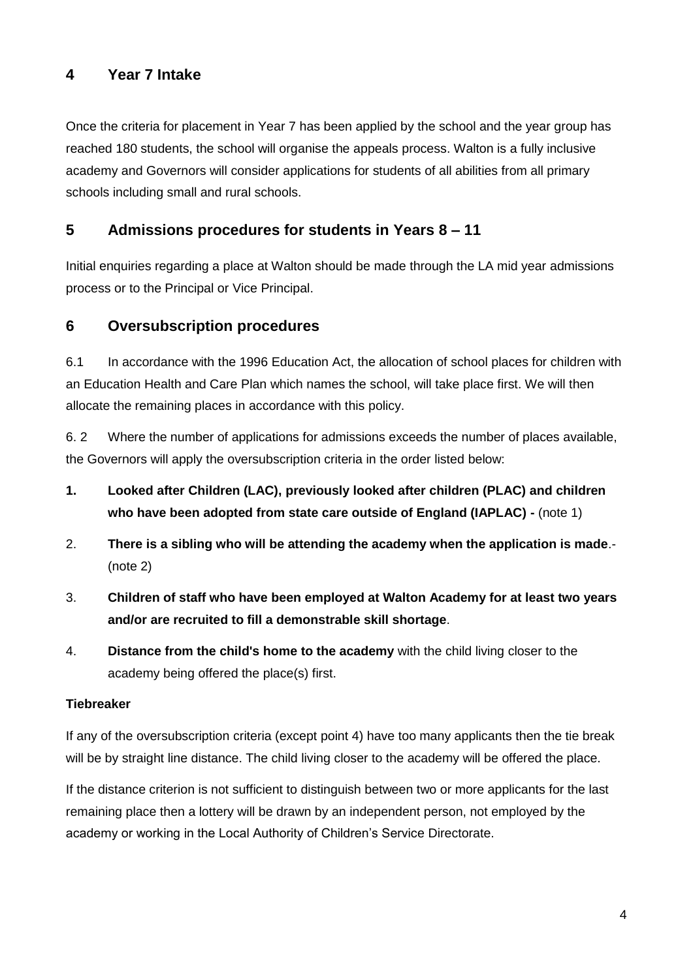# **4 Year 7 Intake**

Once the criteria for placement in Year 7 has been applied by the school and the year group has reached 180 students, the school will organise the appeals process. Walton is a fully inclusive academy and Governors will consider applications for students of all abilities from all primary schools including small and rural schools.

# **5 Admissions procedures for students in Years 8 – 11**

Initial enquiries regarding a place at Walton should be made through the LA mid year admissions process or to the Principal or Vice Principal.

# **6 Oversubscription procedures**

6.1 In accordance with the 1996 Education Act, the allocation of school places for children with an Education Health and Care Plan which names the school, will take place first. We will then allocate the remaining places in accordance with this policy.

6. 2 Where the number of applications for admissions exceeds the number of places available, the Governors will apply the oversubscription criteria in the order listed below:

- **1. Looked after Children (LAC), previously looked after children (PLAC) and children who have been adopted from state care outside of England (IAPLAC) -** (note 1)
- 2. **There is a sibling who will be attending the academy when the application is made**.- (note 2)
- 3. **Children of staff who have been employed at Walton Academy for at least two years and/or are recruited to fill a demonstrable skill shortage**.
- 4. **Distance from the child's home to the academy** with the child living closer to the academy being offered the place(s) first.

## **Tiebreaker**

If any of the oversubscription criteria (except point 4) have too many applicants then the tie break will be by straight line distance. The child living closer to the academy will be offered the place.

If the distance criterion is not sufficient to distinguish between two or more applicants for the last remaining place then a lottery will be drawn by an independent person, not employed by the academy or working in the Local Authority of Children's Service Directorate.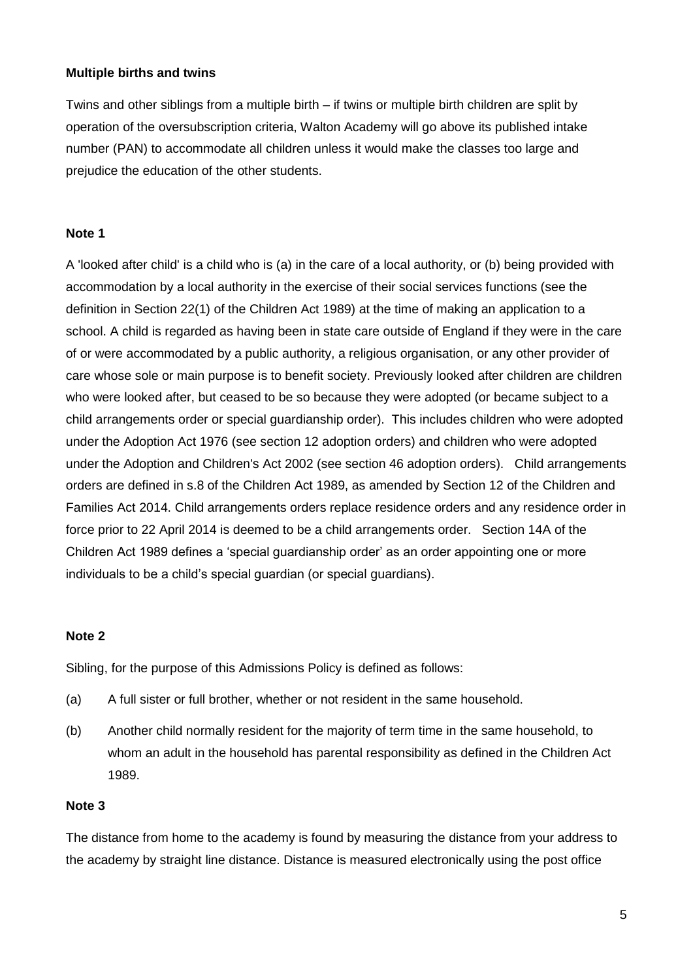#### **Multiple births and twins**

Twins and other siblings from a multiple birth – if twins or multiple birth children are split by operation of the oversubscription criteria, Walton Academy will go above its published intake number (PAN) to accommodate all children unless it would make the classes too large and prejudice the education of the other students.

#### **Note 1**

A 'looked after child' is a child who is (a) in the care of a local authority, or (b) being provided with accommodation by a local authority in the exercise of their social services functions (see the definition in Section 22(1) of the Children Act 1989) at the time of making an application to a school. A child is regarded as having been in state care outside of England if they were in the care of or were accommodated by a public authority, a religious organisation, or any other provider of care whose sole or main purpose is to benefit society. Previously looked after children are children who were looked after, but ceased to be so because they were adopted (or became subject to a child arrangements order or special guardianship order). This includes children who were adopted under the Adoption Act 1976 (see section 12 adoption orders) and children who were adopted under the Adoption and Children's Act 2002 (see section 46 adoption orders). Child arrangements orders are defined in s.8 of the Children Act 1989, as amended by Section 12 of the Children and Families Act 2014. Child arrangements orders replace residence orders and any residence order in force prior to 22 April 2014 is deemed to be a child arrangements order. Section 14A of the Children Act 1989 defines a 'special guardianship order' as an order appointing one or more individuals to be a child's special guardian (or special guardians).

#### **Note 2**

Sibling, for the purpose of this Admissions Policy is defined as follows:

- (a) A full sister or full brother, whether or not resident in the same household.
- (b) Another child normally resident for the majority of term time in the same household, to whom an adult in the household has parental responsibility as defined in the Children Act 1989.

#### **Note 3**

The distance from home to the academy is found by measuring the distance from your address to the academy by straight line distance. Distance is measured electronically using the post office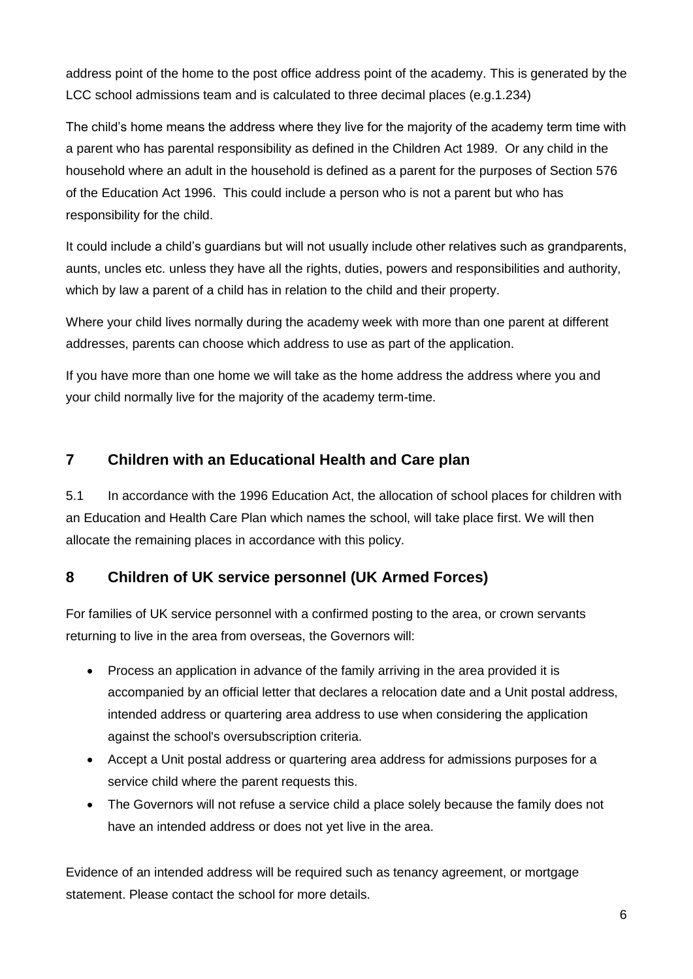address point of the home to the post office address point of the academy. This is generated by the LCC school admissions team and is calculated to three decimal places (e.g.1.234)

The child's home means the address where they live for the majority of the academy term time with a parent who has parental responsibility as defined in the Children Act 1989. Or any child in the household where an adult in the household is defined as a parent for the purposes of Section 576 of the Education Act 1996. This could include a person who is not a parent but who has responsibility for the child.

It could include a child's guardians but will not usually include other relatives such as grandparents, aunts, uncles etc. unless they have all the rights, duties, powers and responsibilities and authority, which by law a parent of a child has in relation to the child and their property.

Where your child lives normally during the academy week with more than one parent at different addresses, parents can choose which address to use as part of the application.

If you have more than one home we will take as the home address the address where you and your child normally live for the majority of the academy term-time.

# **7 Children with an Educational Health and Care plan**

5.1 In accordance with the 1996 Education Act, the allocation of school places for children with an Education and Health Care Plan which names the school, will take place first. We will then allocate the remaining places in accordance with this policy.

# **8 Children of UK service personnel (UK Armed Forces)**

For families of UK service personnel with a confirmed posting to the area, or crown servants returning to live in the area from overseas, the Governors will:

- Process an application in advance of the family arriving in the area provided it is accompanied by an official letter that declares a relocation date and a Unit postal address, intended address or quartering area address to use when considering the application against the school's oversubscription criteria.
- Accept a Unit postal address or quartering area address for admissions purposes for a service child where the parent requests this.
- The Governors will not refuse a service child a place solely because the family does not have an intended address or does not yet live in the area.

Evidence of an intended address will be required such as tenancy agreement, or mortgage statement. Please contact the school for more details.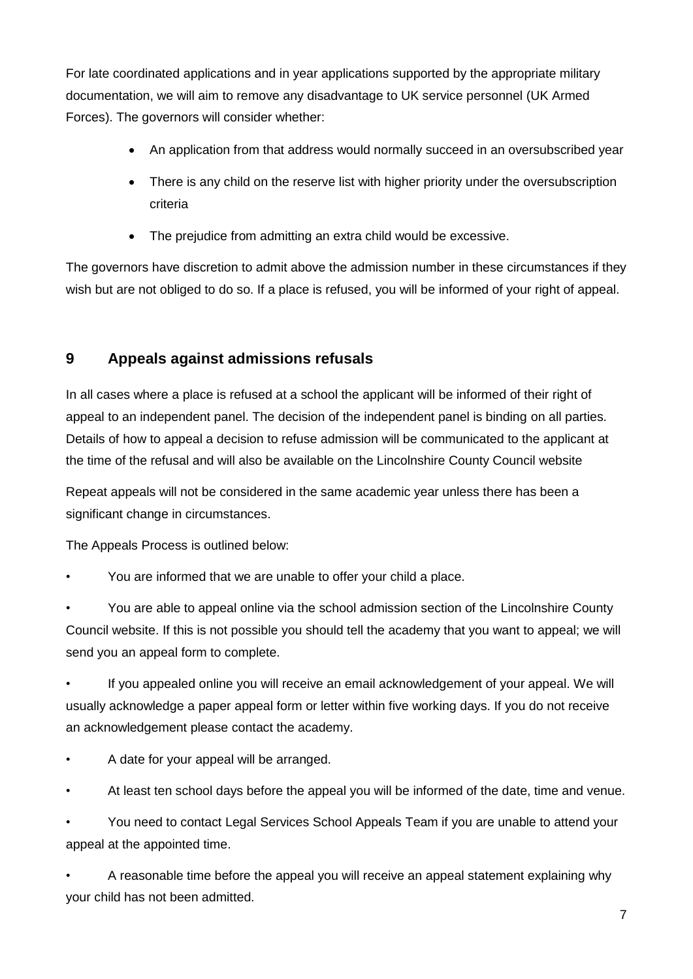For late coordinated applications and in year applications supported by the appropriate military documentation, we will aim to remove any disadvantage to UK service personnel (UK Armed Forces). The governors will consider whether:

- An application from that address would normally succeed in an oversubscribed year
- There is any child on the reserve list with higher priority under the oversubscription criteria
- The prejudice from admitting an extra child would be excessive.

The governors have discretion to admit above the admission number in these circumstances if they wish but are not obliged to do so. If a place is refused, you will be informed of your right of appeal.

# **9 Appeals against admissions refusals**

In all cases where a place is refused at a school the applicant will be informed of their right of appeal to an independent panel. The decision of the independent panel is binding on all parties. Details of how to appeal a decision to refuse admission will be communicated to the applicant at the time of the refusal and will also be available on the Lincolnshire County Council website

Repeat appeals will not be considered in the same academic year unless there has been a significant change in circumstances.

The Appeals Process is outlined below:

• You are informed that we are unable to offer your child a place.

• You are able to appeal online via the school admission section of the Lincolnshire County Council website. If this is not possible you should tell the academy that you want to appeal; we will send you an appeal form to complete.

• If you appealed online you will receive an email acknowledgement of your appeal. We will usually acknowledge a paper appeal form or letter within five working days. If you do not receive an acknowledgement please contact the academy.

- A date for your appeal will be arranged.
- At least ten school days before the appeal you will be informed of the date, time and venue.

• You need to contact Legal Services School Appeals Team if you are unable to attend your appeal at the appointed time.

• A reasonable time before the appeal you will receive an appeal statement explaining why your child has not been admitted.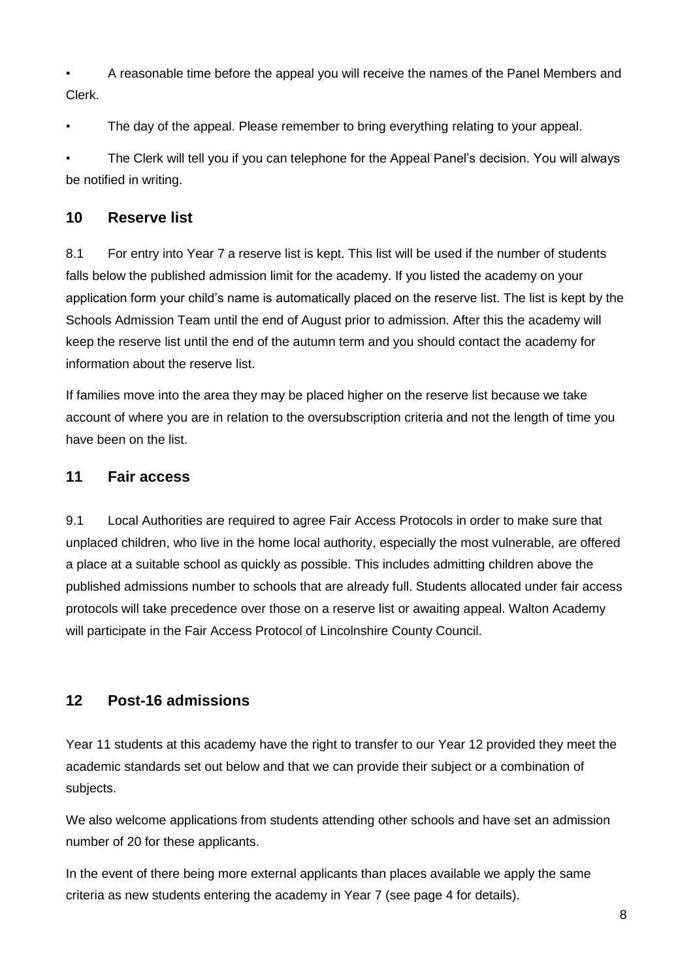• A reasonable time before the appeal you will receive the names of the Panel Members and Clerk.

• The day of the appeal. Please remember to bring everything relating to your appeal.

• The Clerk will tell you if you can telephone for the Appeal Panel's decision. You will always be notified in writing.

# **10 Reserve list**

8.1 For entry into Year 7 a reserve list is kept. This list will be used if the number of students falls below the published admission limit for the academy. If you listed the academy on your application form your child's name is automatically placed on the reserve list. The list is kept by the Schools Admission Team until the end of August prior to admission. After this the academy will keep the reserve list until the end of the autumn term and you should contact the academy for information about the reserve list.

If families move into the area they may be placed higher on the reserve list because we take account of where you are in relation to the oversubscription criteria and not the length of time you have been on the list.

# **11 Fair access**

9.1 Local Authorities are required to agree Fair Access Protocols in order to make sure that unplaced children, who live in the home local authority, especially the most vulnerable, are offered a place at a suitable school as quickly as possible. This includes admitting children above the published admissions number to schools that are already full. Students allocated under fair access protocols will take precedence over those on a reserve list or awaiting appeal. Walton Academy will participate in the Fair Access Protocol of Lincolnshire County Council.

# **12 Post-16 admissions**

Year 11 students at this academy have the right to transfer to our Year 12 provided they meet the academic standards set out below and that we can provide their subject or a combination of subjects.

We also welcome applications from students attending other schools and have set an admission number of 20 for these applicants.

In the event of there being more external applicants than places available we apply the same criteria as new students entering the academy in Year 7 (see page 4 for details).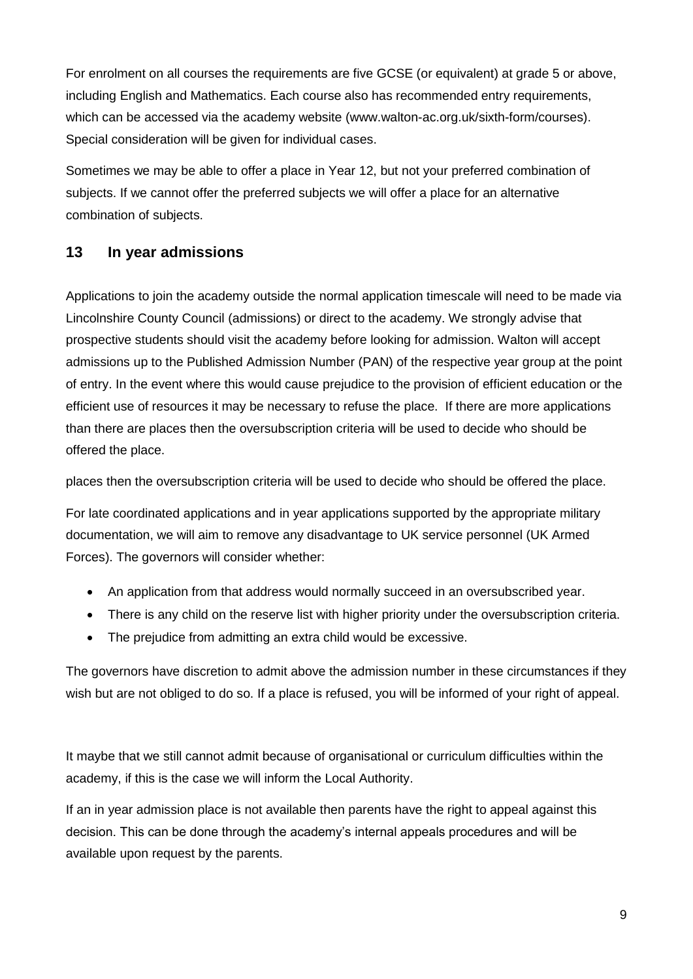For enrolment on all courses the requirements are five GCSE (or equivalent) at grade 5 or above, including English and Mathematics. Each course also has recommended entry requirements, which can be accessed via the academy website (www.walton-ac.org.uk/sixth-form/courses). Special consideration will be given for individual cases.

Sometimes we may be able to offer a place in Year 12, but not your preferred combination of subjects. If we cannot offer the preferred subjects we will offer a place for an alternative combination of subjects.

# **13 In year admissions**

Applications to join the academy outside the normal application timescale will need to be made via Lincolnshire County Council (admissions) or direct to the academy. We strongly advise that prospective students should visit the academy before looking for admission. Walton will accept admissions up to the Published Admission Number (PAN) of the respective year group at the point of entry. In the event where this would cause prejudice to the provision of efficient education or the efficient use of resources it may be necessary to refuse the place. If there are more applications than there are places then the oversubscription criteria will be used to decide who should be offered the place.

places then the oversubscription criteria will be used to decide who should be offered the place.

For late coordinated applications and in year applications supported by the appropriate military documentation, we will aim to remove any disadvantage to UK service personnel (UK Armed Forces). The governors will consider whether:

- An application from that address would normally succeed in an oversubscribed year.
- There is any child on the reserve list with higher priority under the oversubscription criteria.
- The prejudice from admitting an extra child would be excessive.

The governors have discretion to admit above the admission number in these circumstances if they wish but are not obliged to do so. If a place is refused, you will be informed of your right of appeal.

It maybe that we still cannot admit because of organisational or curriculum difficulties within the academy, if this is the case we will inform the Local Authority.

If an in year admission place is not available then parents have the right to appeal against this decision. This can be done through the academy's internal appeals procedures and will be available upon request by the parents.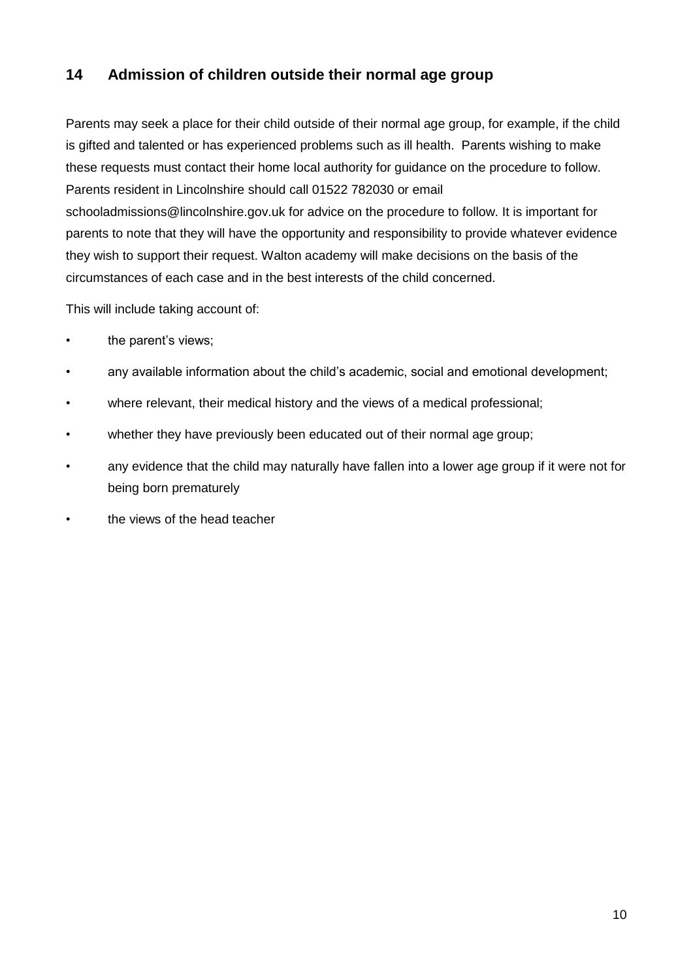# **14 Admission of children outside their normal age group**

Parents may seek a place for their child outside of their normal age group, for example, if the child is gifted and talented or has experienced problems such as ill health. Parents wishing to make these requests must contact their home local authority for guidance on the procedure to follow. Parents resident in Lincolnshire should call 01522 782030 or email schooladmissions@lincolnshire.gov.uk for advice on the procedure to follow. It is important for parents to note that they will have the opportunity and responsibility to provide whatever evidence they wish to support their request. Walton academy will make decisions on the basis of the circumstances of each case and in the best interests of the child concerned.

This will include taking account of:

- the parent's views;
- any available information about the child's academic, social and emotional development;
- where relevant, their medical history and the views of a medical professional;
- whether they have previously been educated out of their normal age group;
- any evidence that the child may naturally have fallen into a lower age group if it were not for being born prematurely
- the views of the head teacher